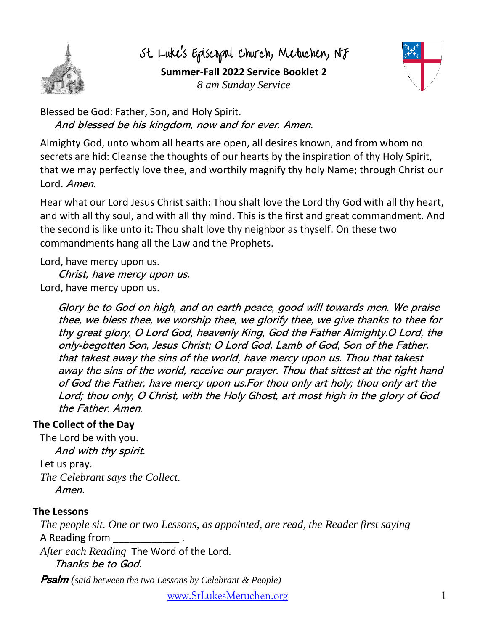

St. Luke's Episcopal Church, Metuchen, NJ **Summer-Fall 2022 Service Booklet 2** *8 am Sunday Service*



Blessed be God: Father, Son, and Holy Spirit. And blessed be his kingdom, now and for ever. Amen.

Almighty God, unto whom all hearts are open, all desires known, and from whom no secrets are hid: Cleanse the thoughts of our hearts by the inspiration of thy Holy Spirit, that we may perfectly love thee, and worthily magnify thy holy Name; through Christ our Lord. Amen.

Hear what our Lord Jesus Christ saith: Thou shalt love the Lord thy God with all thy heart, and with all thy soul, and with all thy mind. This is the first and great commandment. And the second is like unto it: Thou shalt love thy neighbor as thyself. On these two commandments hang all the Law and the Prophets.

Lord, have mercy upon us.

Christ, have mercy upon us. Lord, have mercy upon us.

> Glory be to God on high, and on earth peace, good will towards men. We praise thee, we bless thee, we worship thee, we glorify thee, we give thanks to thee for thy great glory, O Lord God, heavenly King, God the Father Almighty.O Lord, the only-begotten Son, Jesus Christ; O Lord God, Lamb of God, Son of the Father, that takest away the sins of the world, have mercy upon us. Thou that takest away the sins of the world, receive our prayer. Thou that sittest at the right hand of God the Father, have mercy upon us.For thou only art holy; thou only art the Lord; thou only, O Christ, with the Holy Ghost, art most high in the glory of God the Father. Amen.

## **The Collect of the Day**

The Lord be with you. And with thy spirit. Let us pray. *The Celebrant says the Collect.* Amen.

### **The Lessons**

*The people sit. One or two Lessons, as appointed, are read, the Reader first saying* A Reading from

*After each Reading* The Word of the Lord. Thanks be to God.

Psalm *(said between the two Lessons by Celebrant & People)*

[www.StLukesMetuchen.org](http://www.stlukesmetuchen.org/) 1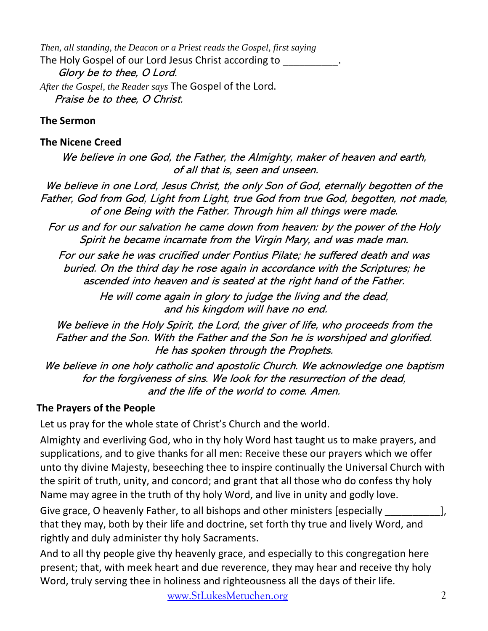*Then, all standing, the Deacon or a Priest reads the Gospel, first saying* The Holy Gospel of our Lord Jesus Christ according to \_\_\_\_\_\_\_\_\_\_. Glory be to thee, O Lord. *After the Gospel, the Reader says* The Gospel of the Lord. Praise be to thee, O Christ.

#### **The Sermon**

#### **The Nicene Creed**

We believe in one God, the Father, the Almighty, maker of heaven and earth, of all that is, seen and unseen.

We believe in one Lord, Jesus Christ, the only Son of God, eternally begotten of the Father, God from God, Light from Light, true God from true God, begotten, not made, of one Being with the Father. Through him all things were made.

For us and for our salvation he came down from heaven: by the power of the Holy Spirit he became incarnate from the Virgin Mary, and was made man.

For our sake he was crucified under Pontius Pilate; he suffered death and was buried. On the third day he rose again in accordance with the Scriptures; he ascended into heaven and is seated at the right hand of the Father.

> He will come again in glory to judge the living and the dead, and his kingdom will have no end.

We believe in the Holy Spirit, the Lord, the giver of life, who proceeds from the Father and the Son. With the Father and the Son he is worshiped and glorified. He has spoken through the Prophets.

We believe in one holy catholic and apostolic Church. We acknowledge one baptism for the forgiveness of sins. We look for the resurrection of the dead, and the life of the world to come. Amen.

### **The Prayers of the People**

Let us pray for the whole state of Christ's Church and the world.

Almighty and everliving God, who in thy holy Word hast taught us to make prayers, and supplications, and to give thanks for all men: Receive these our prayers which we offer unto thy divine Majesty, beseeching thee to inspire continually the Universal Church with the spirit of truth, unity, and concord; and grant that all those who do confess thy holy Name may agree in the truth of thy holy Word, and live in unity and godly love.

Give grace, O heavenly Father, to all bishops and other ministers [especially \_\_\_\_\_\_\_\_\_\_\_\_\_\_], that they may, both by their life and doctrine, set forth thy true and lively Word, and rightly and duly administer thy holy Sacraments.

And to all thy people give thy heavenly grace, and especially to this congregation here present; that, with meek heart and due reverence, they may hear and receive thy holy Word, truly serving thee in holiness and righteousness all the days of their life.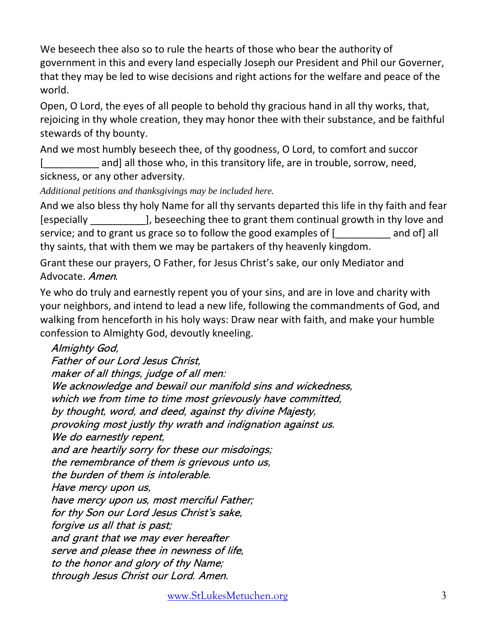We beseech thee also so to rule the hearts of those who bear the authority of government in this and every land especially Joseph our President and Phil our Governer, that they may be led to wise decisions and right actions for the welfare and peace of the world.

Open, O Lord, the eyes of all people to behold thy gracious hand in all thy works, that, rejoicing in thy whole creation, they may honor thee with their substance, and be faithful stewards of thy bounty.

And we most humbly beseech thee, of thy goodness, O Lord, to comfort and succor [**with and**] all those who, in this transitory life, are in trouble, sorrow, need, sickness, or any other adversity.

*Additional petitions and thanksgivings may be included here.*

And we also bless thy holy Name for all thy servants departed this life in thy faith and fear [especially \_\_\_\_\_\_\_\_\_\_], beseeching thee to grant them continual growth in thy love and service; and to grant us grace so to follow the good examples of [ and of] all thy saints, that with them we may be partakers of thy heavenly kingdom.

Grant these our prayers, O Father, for Jesus Christ's sake, our only Mediator and Advocate. Amen.

Ye who do truly and earnestly repent you of your sins, and are in love and charity with your neighbors, and intend to lead a new life, following the commandments of God, and walking from henceforth in his holy ways: Draw near with faith, and make your humble confession to Almighty God, devoutly kneeling.

Almighty God, Father of our Lord Jesus Christ, maker of all things, judge of all men: We acknowledge and bewail our manifold sins and wickedness, which we from time to time most grievously have committed, by thought, word, and deed, against thy divine Majesty, provoking most justly thy wrath and indignation against us. We do earnestly repent, and are heartily sorry for these our misdoings; the remembrance of them is grievous unto us, the burden of them is intolerable. Have mercy upon us, have mercy upon us, most merciful Father; for thy Son our Lord Jesus Christ's sake, forgive us all that is past; and grant that we may ever hereafter serve and please thee in newness of life, to the honor and glory of thy Name; through Jesus Christ our Lord. Amen.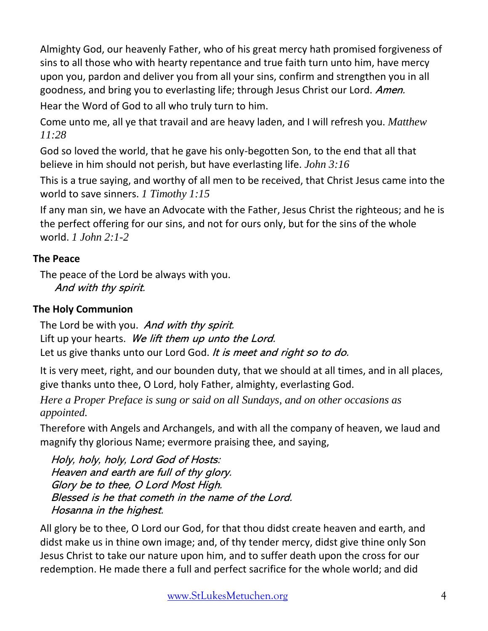Almighty God, our heavenly Father, who of his great mercy hath promised forgiveness of sins to all those who with hearty repentance and true faith turn unto him, have mercy upon you, pardon and deliver you from all your sins, confirm and strengthen you in all goodness, and bring you to everlasting life; through Jesus Christ our Lord. Amen. Hear the Word of God to all who truly turn to him.

Come unto me, all ye that travail and are heavy laden, and I will refresh you. *Matthew 11:28*

God so loved the world, that he gave his only-begotten Son, to the end that all that believe in him should not perish, but have everlasting life. *John 3:16*

This is a true saying, and worthy of all men to be received, that Christ Jesus came into the world to save sinners. *1 Timothy 1:15*

If any man sin, we have an Advocate with the Father, Jesus Christ the righteous; and he is the perfect offering for our sins, and not for ours only, but for the sins of the whole world. *1 John 2:1-2*

# **The Peace**

The peace of the Lord be always with you. And with thy spirit.

# **The Holy Communion**

The Lord be with you. And with thy spirit. Lift up your hearts. We lift them up unto the Lord. Let us give thanks unto our Lord God. It is meet and right so to do.

It is very meet, right, and our bounden duty, that we should at all times, and in all places, give thanks unto thee, O Lord, holy Father, almighty, everlasting God.

*Here a Proper Preface is sung or said on all Sundays, and on other occasions as appointed.*

Therefore with Angels and Archangels, and with all the company of heaven, we laud and magnify thy glorious Name; evermore praising thee, and saying,

Holy, holy, holy, Lord God of Hosts: Heaven and earth are full of thy glory. Glory be to thee, O Lord Most High. Blessed is he that cometh in the name of the Lord. Hosanna in the highest.

All glory be to thee, O Lord our God, for that thou didst create heaven and earth, and didst make us in thine own image; and, of thy tender mercy, didst give thine only Son Jesus Christ to take our nature upon him, and to suffer death upon the cross for our redemption. He made there a full and perfect sacrifice for the whole world; and did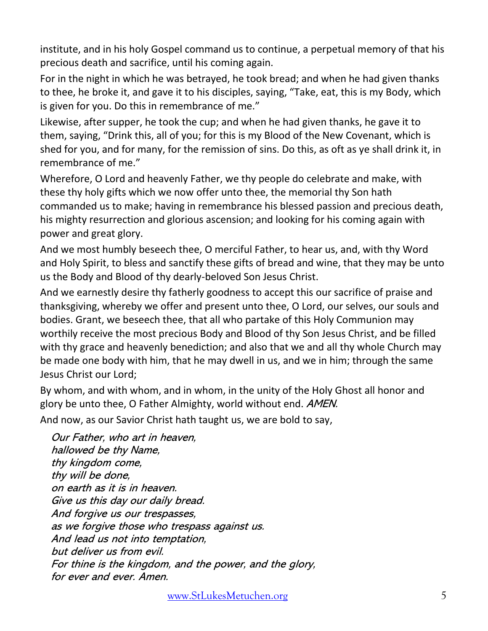institute, and in his holy Gospel command us to continue, a perpetual memory of that his precious death and sacrifice, until his coming again.

For in the night in which he was betrayed, he took bread; and when he had given thanks to thee, he broke it, and gave it to his disciples, saying, "Take, eat, this is my Body, which is given for you. Do this in remembrance of me."

Likewise, after supper, he took the cup; and when he had given thanks, he gave it to them, saying, "Drink this, all of you; for this is my Blood of the New Covenant, which is shed for you, and for many, for the remission of sins. Do this, as oft as ye shall drink it, in remembrance of me."

Wherefore, O Lord and heavenly Father, we thy people do celebrate and make, with these thy holy gifts which we now offer unto thee, the memorial thy Son hath commanded us to make; having in remembrance his blessed passion and precious death, his mighty resurrection and glorious ascension; and looking for his coming again with power and great glory.

And we most humbly beseech thee, O merciful Father, to hear us, and, with thy Word and Holy Spirit, to bless and sanctify these gifts of bread and wine, that they may be unto us the Body and Blood of thy dearly-beloved Son Jesus Christ.

And we earnestly desire thy fatherly goodness to accept this our sacrifice of praise and thanksgiving, whereby we offer and present unto thee, O Lord, our selves, our souls and bodies. Grant, we beseech thee, that all who partake of this Holy Communion may worthily receive the most precious Body and Blood of thy Son Jesus Christ, and be filled with thy grace and heavenly benediction; and also that we and all thy whole Church may be made one body with him, that he may dwell in us, and we in him; through the same Jesus Christ our Lord;

By whom, and with whom, and in whom, in the unity of the Holy Ghost all honor and glory be unto thee, O Father Almighty, world without end. *AMEN*.

And now, as our Savior Christ hath taught us, we are bold to say,

Our Father, who art in heaven, hallowed be thy Name, thy kingdom come, thy will be done, on earth as it is in heaven. Give us this day our daily bread. And forgive us our trespasses, as we forgive those who trespass against us. And lead us not into temptation, but deliver us from evil. For thine is the kingdom, and the power, and the glory, for ever and ever. Amen.